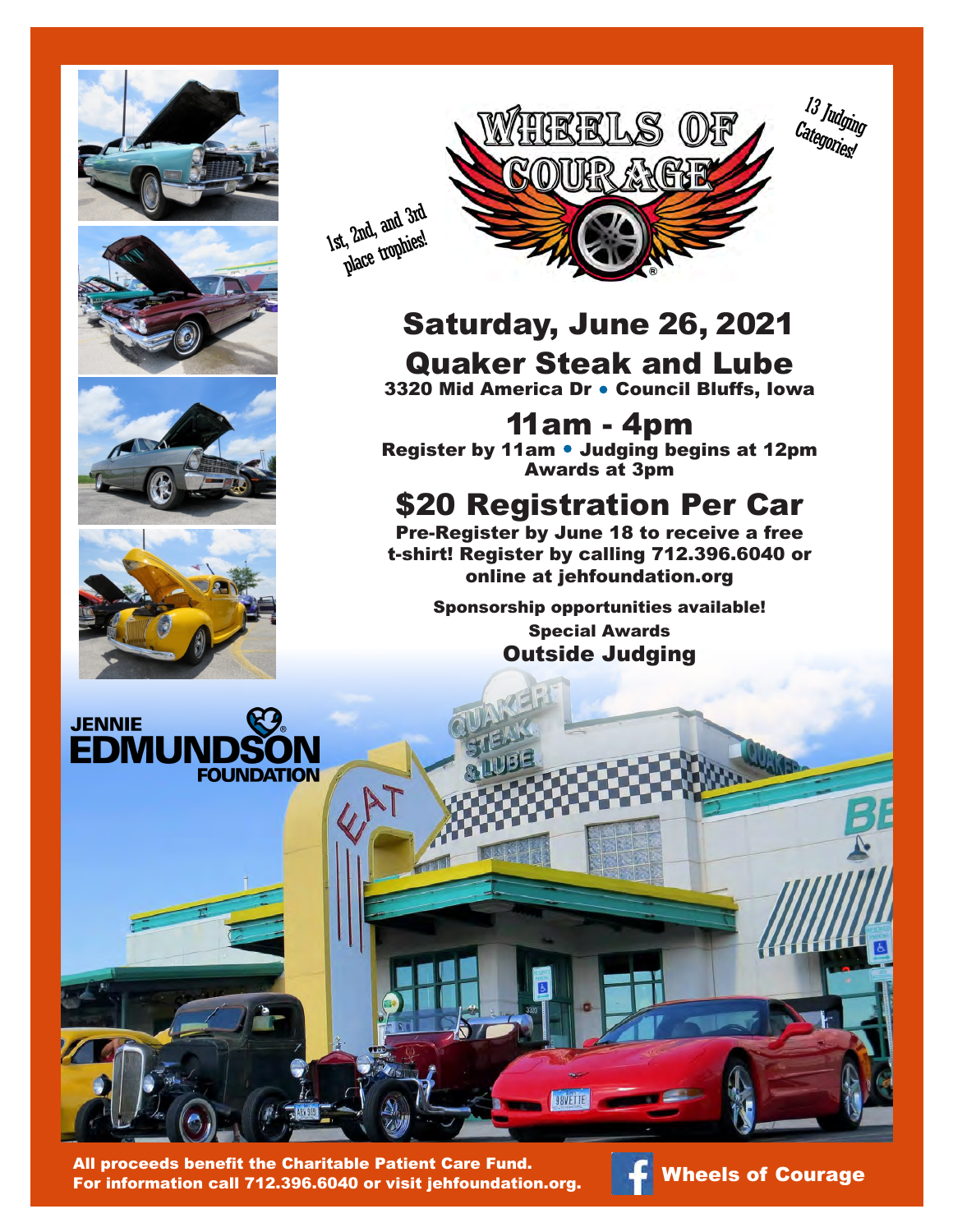



## Saturday, June 25, 2022 Quaker Steak and Lube

3320 Mid America Dr . Council Bluffs, Iowa

11am - 4pm Register by 11am • Judging begins at 12pm Awards at 3pm

## \$20 Registration Per Car

Pre-Register by June 17 to receive a free t-shirt! Register by calling 712.396.6040 or online at jehfoundation.org

Sponsorship opportunities available!

Special Awards Outside Judging



All proceeds benefit the Charitable Patient Care Fund. All proceeds benefit the Charitable Patient Care Fund.<br>For information call 712.396.6040 or visit jehfoundation.org. **The Wheels of Courage**